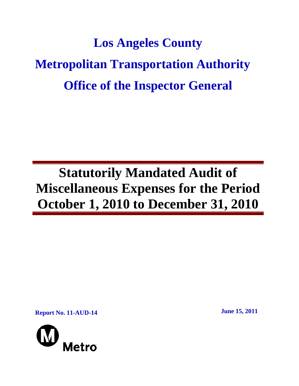# **Los Angeles County Metropolitan Transportation Authority Office of the Inspector General**

## **Statutorily Mandated Audit of Miscellaneous Expenses for the Period October 1, 2010 to December 31, 2010**

**Report No. 11-AUD-14** June 15, 2011

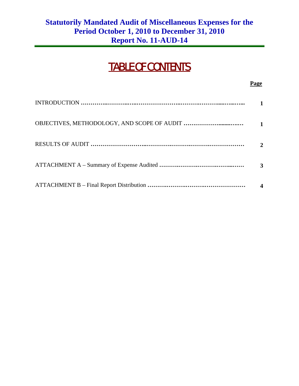## TABLE OF CONTENTS

**Page** 

| $\mathbf{z}$ |
|--------------|
| 3            |
|              |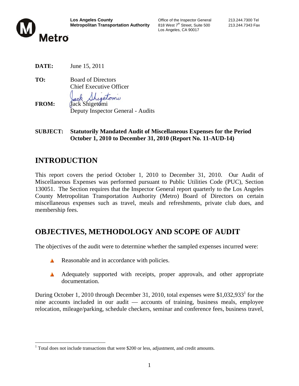

Los Angeles, CA 90017

**DATE:** June 15, 2011

**TO:** Board of Directors Chief Executive Officer

**FROM:** Jack Shigetomi Deputy Inspector General - Audits

**SUBJECT: Statutorily Mandated Audit of Miscellaneous Expenses for the Period October 1, 2010 to December 31, 2010 (Report No. 11-AUD-14)** 

## **INTRODUCTION**

 $\overline{a}$ 

This report covers the period October 1, 2010 to December 31, 2010. Our Audit of Miscellaneous Expenses was performed pursuant to Public Utilities Code (PUC), Section 130051. The Section requires that the Inspector General report quarterly to the Los Angeles County Metropolitan Transportation Authority (Metro) Board of Directors on certain miscellaneous expenses such as travel, meals and refreshments, private club dues, and membership fees.

## **OBJECTIVES, METHODOLOGY AND SCOPE OF AUDIT**

The objectives of the audit were to determine whether the sampled expenses incurred were:

- Reasonable and in accordance with policies.
- A Adequately supported with receipts, proper approvals, and other appropriate documentation.

During October 1, 2010 through December 31, 2010, total expenses were  $$1,032,933<sup>1</sup>$  for the nine accounts included in our audit — accounts of training, business meals, employee relocation, mileage/parking, schedule checkers, seminar and conference fees, business travel,

 $1$  Total does not include transactions that were \$200 or less, adjustment, and credit amounts.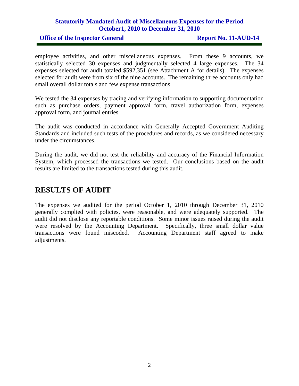#### **Statutorily Mandated Audit of Miscellaneous Expenses for the Period October1, 2010 to December 31, 2010**

#### **Office of the Inspector General Report No. 11-AUD-14**

employee activities, and other miscellaneous expenses. From these 9 accounts, we statistically selected 30 expenses and judgmentally selected 4 large expenses. The 34 expenses selected for audit totaled \$592,351 (see Attachment A for details). The expenses selected for audit were from six of the nine accounts. The remaining three accounts only had small overall dollar totals and few expense transactions.

We tested the 34 expenses by tracing and verifying information to supporting documentation such as purchase orders, payment approval form, travel authorization form, expenses approval form, and journal entries.

The audit was conducted in accordance with Generally Accepted Government Auditing Standards and included such tests of the procedures and records, as we considered necessary under the circumstances.

During the audit, we did not test the reliability and accuracy of the Financial Information System, which processed the transactions we tested. Our conclusions based on the audit results are limited to the transactions tested during this audit.

### **RESULTS OF AUDIT**

The expenses we audited for the period October 1, 2010 through December 31, 2010 generally complied with policies, were reasonable, and were adequately supported. The audit did not disclose any reportable conditions. Some minor issues raised during the audit were resolved by the Accounting Department. Specifically, three small dollar value transactions were found miscoded. Accounting Department staff agreed to make adjustments.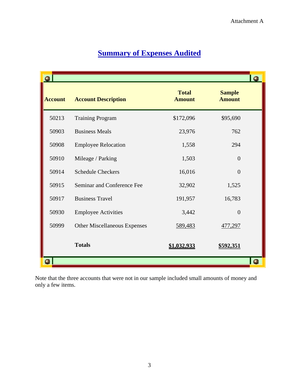|                |                                     |                               |                                | $\bullet$ |
|----------------|-------------------------------------|-------------------------------|--------------------------------|-----------|
| <b>Account</b> | <b>Account Description</b>          | <b>Total</b><br><b>Amount</b> | <b>Sample</b><br><b>Amount</b> |           |
| 50213          | <b>Training Program</b>             | \$172,096                     | \$95,690                       |           |
| 50903          | <b>Business Meals</b>               | 23,976                        | 762                            |           |
| 50908          | <b>Employee Relocation</b>          | 1,558                         | 294                            |           |
| 50910          | Mileage / Parking                   | 1,503                         | $\theta$                       |           |
| 50914          | <b>Schedule Checkers</b>            | 16,016                        | $\overline{0}$                 |           |
| 50915          | Seminar and Conference Fee          | 32,902                        | 1,525                          |           |
| 50917          | <b>Business Travel</b>              | 191,957                       | 16,783                         |           |
| 50930          | <b>Employee Activities</b>          | 3,442                         | $\overline{0}$                 |           |
| 50999          | <b>Other Miscellaneous Expenses</b> | 589,483                       | 477,297                        |           |
|                | <b>Totals</b>                       | \$1,032,933                   | <u>\$592,351</u>               |           |
|                |                                     |                               |                                |           |

## **Summary of Expenses Audited**

Note that the three accounts that were not in our sample included small amounts of money and only a few items.